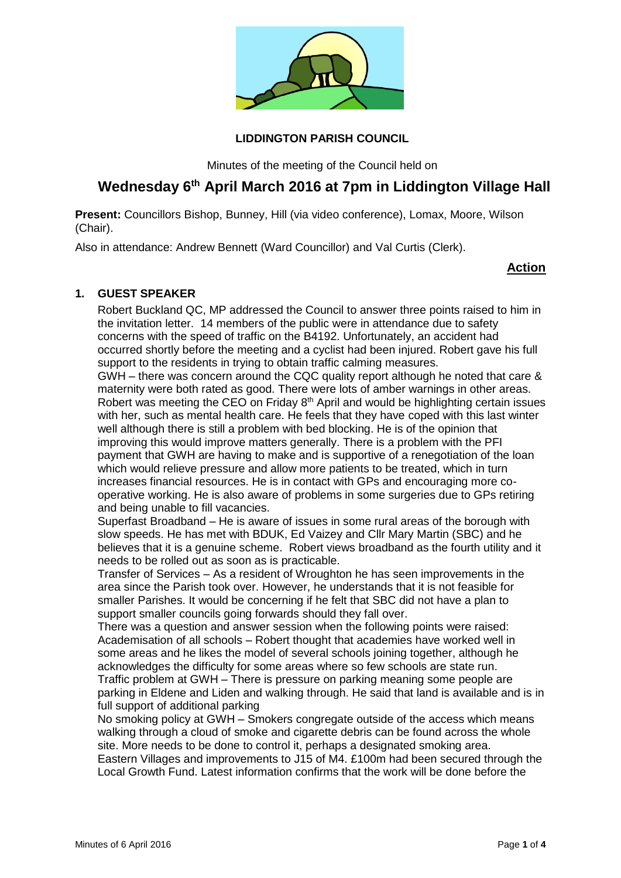

# **LIDDINGTON PARISH COUNCIL**

Minutes of the meeting of the Council held on

# **Wednesday 6 th April March 2016 at 7pm in Liddington Village Hall**

**Present:** Councillors Bishop, Bunney, Hill (via video conference), Lomax, Moore, Wilson (Chair).

Also in attendance: Andrew Bennett (Ward Councillor) and Val Curtis (Clerk).

## **Action**

# **1. GUEST SPEAKER**

Robert Buckland QC, MP addressed the Council to answer three points raised to him in the invitation letter. 14 members of the public were in attendance due to safety concerns with the speed of traffic on the B4192. Unfortunately, an accident had occurred shortly before the meeting and a cyclist had been injured. Robert gave his full support to the residents in trying to obtain traffic calming measures.

GWH – there was concern around the CQC quality report although he noted that care & maternity were both rated as good. There were lots of amber warnings in other areas. Robert was meeting the CEO on Friday  $8<sup>th</sup>$  April and would be highlighting certain issues with her, such as mental health care. He feels that they have coped with this last winter well although there is still a problem with bed blocking. He is of the opinion that improving this would improve matters generally. There is a problem with the PFI payment that GWH are having to make and is supportive of a renegotiation of the loan which would relieve pressure and allow more patients to be treated, which in turn increases financial resources. He is in contact with GPs and encouraging more cooperative working. He is also aware of problems in some surgeries due to GPs retiring and being unable to fill vacancies.

Superfast Broadband – He is aware of issues in some rural areas of the borough with slow speeds. He has met with BDUK, Ed Vaizey and Cllr Mary Martin (SBC) and he believes that it is a genuine scheme. Robert views broadband as the fourth utility and it needs to be rolled out as soon as is practicable.

Transfer of Services – As a resident of Wroughton he has seen improvements in the area since the Parish took over. However, he understands that it is not feasible for smaller Parishes. It would be concerning if he felt that SBC did not have a plan to support smaller councils going forwards should they fall over.

There was a question and answer session when the following points were raised: Academisation of all schools – Robert thought that academies have worked well in some areas and he likes the model of several schools joining together, although he acknowledges the difficulty for some areas where so few schools are state run. Traffic problem at GWH – There is pressure on parking meaning some people are parking in Eldene and Liden and walking through. He said that land is available and is in full support of additional parking

No smoking policy at GWH – Smokers congregate outside of the access which means walking through a cloud of smoke and cigarette debris can be found across the whole site. More needs to be done to control it, perhaps a designated smoking area. Eastern Villages and improvements to J15 of M4. £100m had been secured through the Local Growth Fund. Latest information confirms that the work will be done before the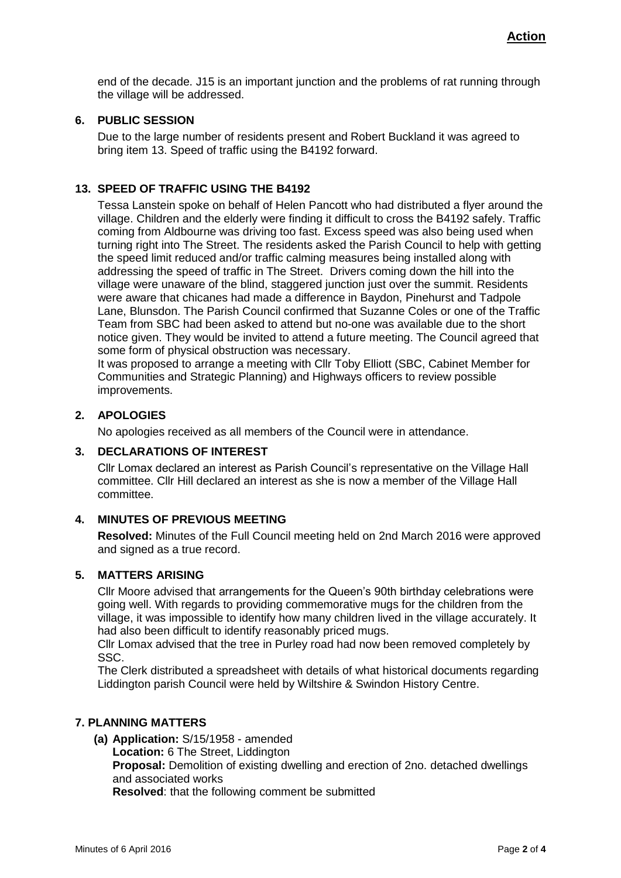end of the decade. J15 is an important junction and the problems of rat running through the village will be addressed.

# **6. PUBLIC SESSION**

Due to the large number of residents present and Robert Buckland it was agreed to bring item 13. Speed of traffic using the B4192 forward.

# **13. SPEED OF TRAFFIC USING THE B4192**

Tessa Lanstein spoke on behalf of Helen Pancott who had distributed a flyer around the village. Children and the elderly were finding it difficult to cross the B4192 safely. Traffic coming from Aldbourne was driving too fast. Excess speed was also being used when turning right into The Street. The residents asked the Parish Council to help with getting the speed limit reduced and/or traffic calming measures being installed along with addressing the speed of traffic in The Street. Drivers coming down the hill into the village were unaware of the blind, staggered junction just over the summit. Residents were aware that chicanes had made a difference in Baydon, Pinehurst and Tadpole Lane, Blunsdon. The Parish Council confirmed that Suzanne Coles or one of the Traffic Team from SBC had been asked to attend but no-one was available due to the short notice given. They would be invited to attend a future meeting. The Council agreed that some form of physical obstruction was necessary.

It was proposed to arrange a meeting with Cllr Toby Elliott (SBC, Cabinet Member for Communities and Strategic Planning) and Highways officers to review possible improvements.

#### **2. APOLOGIES**

No apologies received as all members of the Council were in attendance.

## **3. DECLARATIONS OF INTEREST**

Cllr Lomax declared an interest as Parish Council's representative on the Village Hall committee. Cllr Hill declared an interest as she is now a member of the Village Hall committee.

## **4. MINUTES OF PREVIOUS MEETING**

**Resolved:** Minutes of the Full Council meeting held on 2nd March 2016 were approved and signed as a true record.

#### **5. MATTERS ARISING**

Cllr Moore advised that arrangements for the Queen's 90th birthday celebrations were going well. With regards to providing commemorative mugs for the children from the village, it was impossible to identify how many children lived in the village accurately. It had also been difficult to identify reasonably priced mugs.

Cllr Lomax advised that the tree in Purley road had now been removed completely by SSC.

The Clerk distributed a spreadsheet with details of what historical documents regarding Liddington parish Council were held by Wiltshire & Swindon History Centre.

#### **7. PLANNING MATTERS**

**(a) Application:** S/15/1958 - amended **Location:** 6 The Street, Liddington **Proposal:** Demolition of existing dwelling and erection of 2no. detached dwellings and associated works **Resolved**: that the following comment be submitted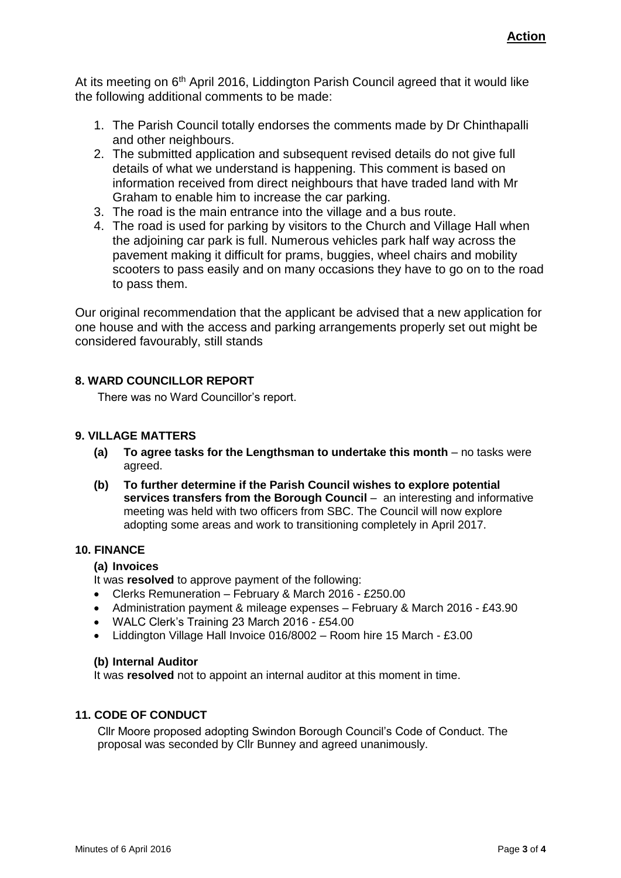At its meeting on 6<sup>th</sup> April 2016, Liddington Parish Council agreed that it would like the following additional comments to be made:

- 1. The Parish Council totally endorses the comments made by Dr Chinthapalli and other neighbours.
- 2. The submitted application and subsequent revised details do not give full details of what we understand is happening. This comment is based on information received from direct neighbours that have traded land with Mr Graham to enable him to increase the car parking.
- 3. The road is the main entrance into the village and a bus route.
- 4. The road is used for parking by visitors to the Church and Village Hall when the adjoining car park is full. Numerous vehicles park half way across the pavement making it difficult for prams, buggies, wheel chairs and mobility scooters to pass easily and on many occasions they have to go on to the road to pass them.

Our original recommendation that the applicant be advised that a new application for one house and with the access and parking arrangements properly set out might be considered favourably, still stands

# **8. WARD COUNCILLOR REPORT**

There was no Ward Councillor's report.

## **9. VILLAGE MATTERS**

- **(a) To agree tasks for the Lengthsman to undertake this month** no tasks were agreed.
- **(b) To further determine if the Parish Council wishes to explore potential services transfers from the Borough Council** – an interesting and informative meeting was held with two officers from SBC. The Council will now explore adopting some areas and work to transitioning completely in April 2017.

#### **10. FINANCE**

#### **(a) Invoices**

It was **resolved** to approve payment of the following:

- Clerks Remuneration February & March 2016 £250.00
- Administration payment & mileage expenses February & March 2016 £43.90
- WALC Clerk's Training 23 March 2016 £54.00
- Liddington Village Hall Invoice 016/8002 Room hire 15 March £3.00

## **(b) Internal Auditor**

It was **resolved** not to appoint an internal auditor at this moment in time.

## **11. CODE OF CONDUCT**

Cllr Moore proposed adopting Swindon Borough Council's Code of Conduct. The proposal was seconded by Cllr Bunney and agreed unanimously.